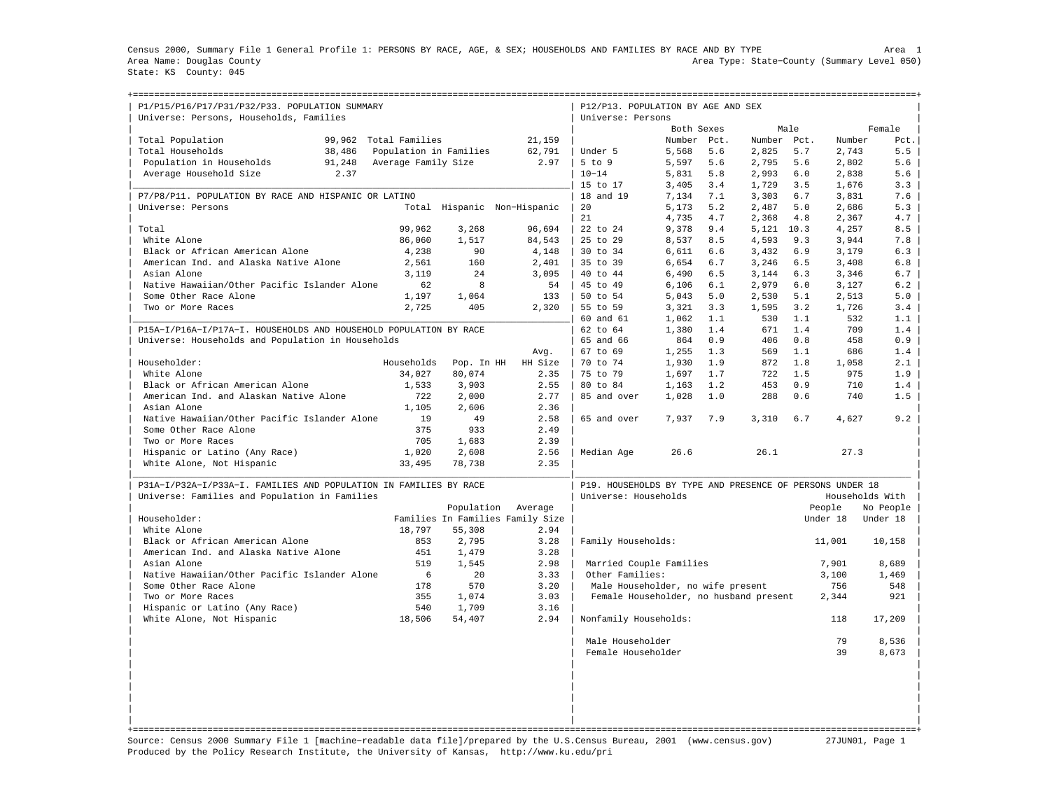Census 2000, Summary File 1 General Profile 1: PERSONS BY RACE, AGE, & SEX; HOUSEHOLDS AND FAMILIES BY RACE AND BY TYPE Area 1 Area Name: Douglas County Area Type: State−County (Summary Level 050) State: KS County: 045

+===================================================================================================================================================+

| P1/P15/P16/P17/P31/P32/P33. POPULATION SUMMARY<br>Universe: Persons, Households, Families |                        |            |                                  | P12/P13. POPULATION BY AGE AND SEX<br>Universe: Persons  |             |     |             |      |          |                 |
|-------------------------------------------------------------------------------------------|------------------------|------------|----------------------------------|----------------------------------------------------------|-------------|-----|-------------|------|----------|-----------------|
|                                                                                           |                        |            |                                  |                                                          | Both Sexes  |     |             | Male |          | Female          |
| 99,962<br>Total Population                                                                | Total Families         |            | 21,159                           |                                                          | Number Pct. |     | Number Pct. |      | Number   | Pct.            |
| Total Households<br>38,486                                                                | Population in Families |            | 62,791                           | Under 5                                                  | 5,568       | 5.6 | 2,825       | 5.7  | 2,743    | 5.5             |
| Population in Households<br>91,248                                                        | Average Family Size    |            | 2.97                             | $5$ to $9$                                               | 5,597       | 5.6 | 2,795       | 5.6  | 2,802    | 5.6             |
| Average Household Size<br>2.37                                                            |                        |            |                                  | $10 - 14$                                                | 5,831       | 5.8 | 2,993       | 6.0  | 2,838    | 5.6             |
|                                                                                           |                        |            |                                  | 15 to 17                                                 | 3,405       | 3.4 | 1,729       | 3.5  | 1,676    | 3.3             |
| P7/P8/P11. POPULATION BY RACE AND HISPANIC OR LATINO                                      |                        |            |                                  | 18 and 19                                                | 7,134       | 7.1 | 3,303       | 6.7  | 3,831    | 7.6             |
| Universe: Persons                                                                         |                        |            | Total Hispanic Non-Hispanic      | 20                                                       | 5,173       | 5.2 | 2,487       | 5.0  | 2,686    | 5.3             |
|                                                                                           |                        |            |                                  | 21                                                       | 4,735       | 4.7 | 2,368       | 4.8  | 2,367    | 4.7             |
| Total                                                                                     | 99,962                 | 3,268      | 96,694                           | 22 to 24                                                 | 9,378       | 9.4 | 5,121 10.3  |      | 4,257    | 8.5             |
| White Alone                                                                               | 86,060                 | 1,517      | 84,543                           | $25$ to $29$                                             | 8,537       | 8.5 | 4,593       | 9.3  | 3,944    | 7.8             |
| Black or African American Alone                                                           | 4,238                  | 90         | 4,148                            | 30 to 34                                                 | 6,611       | 6.6 | 3,432       | 6.9  | 3,179    | 6.3             |
| American Ind. and Alaska Native Alone                                                     | 2,561                  | 160        | 2,401                            | 35 to 39                                                 | 6,654       | 6.7 | 3,246       | 6.5  | 3,408    | 6.8             |
| Asian Alone                                                                               | 3,119                  | 24         | 3,095                            | 40 to 44                                                 | 6,490       | 6.5 | 3,144       | 6.3  | 3,346    | 6.7             |
| Native Hawaiian/Other Pacific Islander Alone                                              | 62                     | 8          | 54                               | 45 to 49                                                 | 6,106       | 6.1 | 2,979       | 6.0  | 3,127    | 6.2             |
| Some Other Race Alone                                                                     | 1,197                  | 1,064      | 133                              | 50 to 54                                                 | 5,043       | 5.0 | 2,530       | 5.1  | 2,513    | 5.0             |
| Two or More Races                                                                         | 2,725                  | 405        | 2,320                            | 55 to 59                                                 | 3,321       | 3.3 | 1,595       | 3.2  | 1,726    | 3.4             |
|                                                                                           |                        |            |                                  | 60 and 61                                                | 1,062       | 1.1 | 530         | 1.1  | 532      | 1.1             |
| P15A-I/P16A-I/P17A-I. HOUSEHOLDS AND HOUSEHOLD POPULATION BY RACE                         |                        |            |                                  | $62 \text{ to } 64$                                      | 1,380       | 1.4 | 671         | 1.4  | 709      | 1.4             |
| Universe: Households and Population in Households                                         |                        |            |                                  | 65 and 66                                                | 864         | 0.9 | 406         | 0.8  | 458      | 0.9             |
|                                                                                           |                        |            | Avg.                             | 67 to 69                                                 | 1,255       | 1.3 | 569         | 1.1  | 686      | 1.4             |
| Householder:                                                                              | Households             | Pop. In HH | HH Size                          | 70 to 74                                                 | 1,930       | 1.9 | 872         | 1.8  | 1,058    | 2.1             |
| White Alone                                                                               | 34,027                 | 80,074     | 2.35                             | 75 to 79                                                 | 1,697       | 1.7 | 722         | 1.5  | 975      | 1.9             |
| Black or African American Alone                                                           | 1,533                  | 3,903      | 2.55                             | 80 to 84                                                 | 1,163       | 1.2 | 453         | 0.9  | 710      | 1.4             |
| American Ind. and Alaskan Native Alone                                                    | 722                    | 2,000      | 2.77                             | 85 and over                                              | 1,028       | 1.0 | 288         | 0.6  | 740      | 1.5             |
| Asian Alone                                                                               | 1,105                  | 2,606      | 2.36                             |                                                          |             |     |             |      |          |                 |
| Native Hawaiian/Other Pacific Islander Alone                                              | 19                     | 49         | 2.58                             | 65 and over                                              | 7,937       | 7.9 | 3,310       | 6.7  | 4,627    | 9.2             |
| Some Other Race Alone                                                                     | 375                    | 933        | 2.49                             |                                                          |             |     |             |      |          |                 |
| Two or More Races                                                                         | 705                    | 1,683      | 2.39                             |                                                          |             |     |             |      |          |                 |
| Hispanic or Latino (Any Race)                                                             | 1,020                  | 2,608      | 2.56                             | Median Age                                               | 26.6        |     | 26.1        |      | 27.3     |                 |
| White Alone, Not Hispanic                                                                 | 33,495                 | 78,738     | 2.35                             |                                                          |             |     |             |      |          |                 |
| P31A-I/P32A-I/P33A-I. FAMILIES AND POPULATION IN FAMILIES BY RACE                         |                        |            |                                  | P19. HOUSEHOLDS BY TYPE AND PRESENCE OF PERSONS UNDER 18 |             |     |             |      |          |                 |
| Universe: Families and Population in Families                                             |                        |            |                                  | Universe: Households                                     |             |     |             |      |          | Households With |
|                                                                                           |                        | Population | Average                          |                                                          |             |     |             |      | People   | No People       |
| Householder:                                                                              |                        |            | Families In Families Family Size |                                                          |             |     |             |      | Under 18 | Under 18        |
| White Alone                                                                               | 18,797                 | 55,308     | 2.94                             |                                                          |             |     |             |      |          |                 |
| Black or African American Alone                                                           | 853                    | 2,795      | 3.28                             | Family Households:                                       |             |     |             |      | 11,001   | 10,158          |
| American Ind. and Alaska Native Alone                                                     | 451                    | 1,479      | 3.28                             |                                                          |             |     |             |      |          |                 |
| Asian Alone                                                                               | 519                    | 1,545      | 2.98                             | Married Couple Families                                  |             |     |             |      | 7,901    | 8,689           |
| Native Hawaiian/Other Pacific Islander Alone                                              | 6                      | 20         | 3.33                             | Other Families:                                          |             |     |             |      | 3,100    | 1,469           |
| Some Other Race Alone                                                                     | 178                    | 570        | 3.20                             | Male Householder, no wife present                        |             |     |             |      | 756      | 548             |
| Two or More Races                                                                         | 355                    | 1,074      | 3.03                             | Female Householder, no husband present                   |             |     |             |      | 2,344    | 921             |
| Hispanic or Latino (Any Race)                                                             | 540                    | 1,709      | 3.16                             |                                                          |             |     |             |      |          |                 |
| White Alone, Not Hispanic                                                                 | 18,506                 | 54,407     | 2.94                             | Nonfamily Households:                                    |             |     |             |      | 118      | 17,209          |
|                                                                                           |                        |            |                                  | Male Householder                                         |             |     |             |      | 79       | 8,536           |
|                                                                                           |                        |            |                                  | Female Householder                                       |             |     |             |      | 39       | 8,673           |
|                                                                                           |                        |            |                                  |                                                          |             |     |             |      |          |                 |
|                                                                                           |                        |            |                                  |                                                          |             |     |             |      |          |                 |
|                                                                                           |                        |            |                                  |                                                          |             |     |             |      |          |                 |
|                                                                                           |                        |            |                                  |                                                          |             |     |             |      |          |                 |
|                                                                                           |                        |            |                                  |                                                          |             |     |             |      |          |                 |

Source: Census 2000 Summary File 1 [machine−readable data file]/prepared by the U.S.Census Bureau, 2001 (www.census.gov) 27JUN01, Page 1 Produced by the Policy Research Institute, the University of Kansas, http://www.ku.edu/pri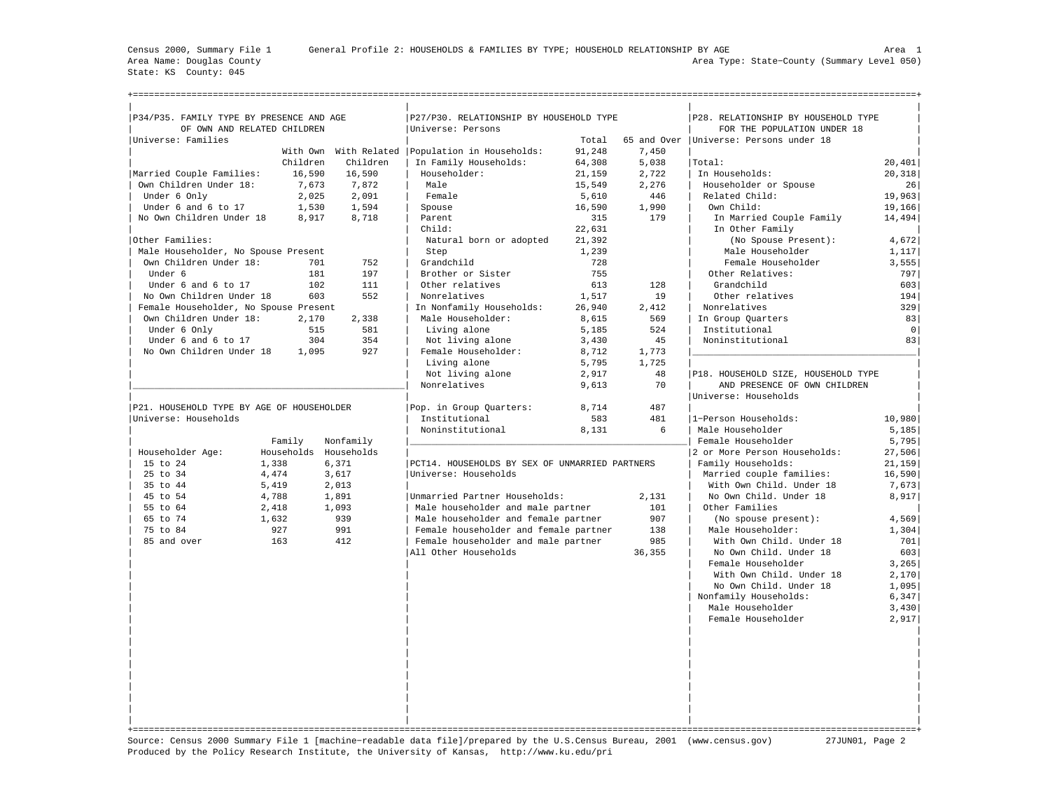State: KS County: 045

+===================================================================================================================================================+

| P34/P35. FAMILY TYPE BY PRESENCE AND AGE  |                       |           | P27/P30. RELATIONSHIP BY HOUSEHOLD TYPE           |        |        | P28. RELATIONSHIP BY HOUSEHOLD TYPE      |             |
|-------------------------------------------|-----------------------|-----------|---------------------------------------------------|--------|--------|------------------------------------------|-------------|
| OF OWN AND RELATED CHILDREN               |                       |           | Universe: Persons                                 |        |        | FOR THE POPULATION UNDER 18              |             |
| Universe: Families                        |                       |           |                                                   | Total  |        | 65 and Over   Universe: Persons under 18 |             |
|                                           |                       |           | With Own With Related   Population in Households: | 91,248 | 7,450  |                                          |             |
|                                           | Children              | Children  | In Family Households:                             | 64,308 | 5,038  | Total:                                   | 20,401      |
| Married Couple Families:                  | 16,590                | 16,590    | Householder:                                      | 21,159 | 2,722  | In Households:                           | 20,318      |
| Own Children Under 18:                    | 7,673                 | 7,872     | Male                                              | 15,549 | 2,276  | Householder or Spouse                    | 26          |
| Under 6 Only                              | 2.025                 | 2,091     | Female                                            | 5,610  | 446    | Related Child:                           | 19,963      |
| Under 6 and 6 to 17                       | 1,530                 | 1,594     | Spouse                                            | 16,590 | 1,990  | Own Child:                               | 19,166      |
| No Own Children Under 18                  | 8,917                 | 8,718     | Parent                                            | 315    | 179    | In Married Couple Family                 | 14,494      |
|                                           |                       |           | Child:                                            | 22,631 |        | In Other Family                          |             |
| Other Families:                           |                       |           | Natural born or adopted                           | 21,392 |        | (No Spouse Present):                     | 4.672       |
| Male Householder, No Spouse Present       |                       |           | Step                                              | 1,239  |        | Male Householder                         | 1,117       |
| Own Children Under 18:                    | 701                   | 752       | Grandchild                                        | 728    |        | Female Householder                       | 3,555       |
| Under 6                                   | 181                   | 197       | Brother or Sister                                 | 755    |        | Other Relatives:                         | 797         |
| Under 6 and 6 to 17                       | 102                   | 111       | Other relatives                                   | 613    | 128    | Grandchild                               | 603         |
| No Own Children Under 18                  | 603                   | 552       | Nonrelatives                                      | 1,517  | 19     | Other relatives                          | 194         |
| Female Householder, No Spouse Present     |                       |           | In Nonfamily Households:                          | 26,940 | 2,412  | Nonrelatives                             | 329         |
| Own Children Under 18:                    | 2,170                 | 2,338     | Male Householder:                                 | 8,615  | 569    | In Group Quarters                        | 83          |
| Under 6 Only                              | 515                   | 581       | Living alone                                      | 5,185  | 524    | Institutional                            | $\mathbf 0$ |
| Under 6 and 6 to 17                       | 304                   | 354       | Not living alone                                  | 3,430  | 45     | Noninstitutional                         | 83          |
| No Own Children Under 18                  | 1,095                 | 927       | Female Householder:                               | 8,712  | 1,773  |                                          |             |
|                                           |                       |           | Living alone                                      | 5,795  | 1,725  |                                          |             |
|                                           |                       |           | Not living alone                                  | 2,917  | 48     | P18. HOUSEHOLD SIZE, HOUSEHOLD TYPE      |             |
|                                           |                       |           | Nonrelatives                                      | 9,613  | 70     | AND PRESENCE OF OWN CHILDREN             |             |
|                                           |                       |           |                                                   |        |        | Universe: Households                     |             |
| P21. HOUSEHOLD TYPE BY AGE OF HOUSEHOLDER |                       |           | Pop. in Group Quarters:                           | 8,714  | 487    |                                          |             |
| Universe: Households                      |                       |           | Institutional                                     | 583    | 481    | 1-Person Households:                     | 10,980      |
|                                           |                       |           | Noninstitutional                                  | 8,131  | 6      | Male Householder                         | 5,185       |
|                                           | Family                | Nonfamily |                                                   |        |        | Female Householder                       | 5,795       |
| Householder Age:                          | Households Households |           |                                                   |        |        | 2 or More Person Households:             | 27,506      |
| 15 to 24                                  | 1,338                 | 6,371     | PCT14. HOUSEHOLDS BY SEX OF UNMARRIED PARTNERS    |        |        | Family Households:                       | 21,159      |
| 25 to 34                                  | 4,474                 | 3,617     | Universe: Households                              |        |        | Married couple families:                 | 16,590      |
| 35 to 44                                  | 5,419                 | 2,013     |                                                   |        |        | With Own Child. Under 18                 | 7,673       |
| 45 to 54                                  | 4,788                 | 1,891     | Unmarried Partner Households:                     |        | 2,131  | No Own Child. Under 18                   | 8,917       |
| 55 to 64                                  | 2,418                 | 1,093     | Male householder and male partner                 |        | 101    | Other Families                           |             |
| 65 to 74                                  | 1,632                 | 939       | Male householder and female partner               |        | 907    | (No spouse present):                     | 4,569       |
| 75 to 84                                  | 927                   | 991       | Female householder and female partner             |        | 138    | Male Householder:                        | 1,304       |
| 85 and over                               | 163                   | 412       | Female householder and male partner               |        | 985    | With Own Child. Under 18                 | 701         |
|                                           |                       |           | All Other Households                              |        | 36,355 | No Own Child. Under 18                   | 603         |
|                                           |                       |           |                                                   |        |        | Female Householder                       | 3,265       |
|                                           |                       |           |                                                   |        |        | With Own Child. Under 18                 | 2,170       |
|                                           |                       |           |                                                   |        |        | No Own Child. Under 18                   | 1,095       |
|                                           |                       |           |                                                   |        |        | Nonfamily Households:                    | 6,347       |
|                                           |                       |           |                                                   |        |        | Male Householder                         | 3,430       |
|                                           |                       |           |                                                   |        |        | Female Householder                       | 2,917       |
|                                           |                       |           |                                                   |        |        |                                          |             |
|                                           |                       |           |                                                   |        |        |                                          |             |
|                                           |                       |           |                                                   |        |        |                                          |             |
|                                           |                       |           |                                                   |        |        |                                          |             |
|                                           |                       |           |                                                   |        |        |                                          |             |
|                                           |                       |           |                                                   |        |        |                                          |             |
|                                           |                       |           |                                                   |        |        |                                          |             |
|                                           |                       |           |                                                   |        |        |                                          |             |
|                                           |                       |           |                                                   |        |        |                                          |             |
|                                           |                       |           |                                                   |        |        |                                          |             |

Source: Census 2000 Summary File 1 [machine−readable data file]/prepared by the U.S.Census Bureau, 2001 (www.census.gov) 27JUN01, Page 2 Produced by the Policy Research Institute, the University of Kansas, http://www.ku.edu/pri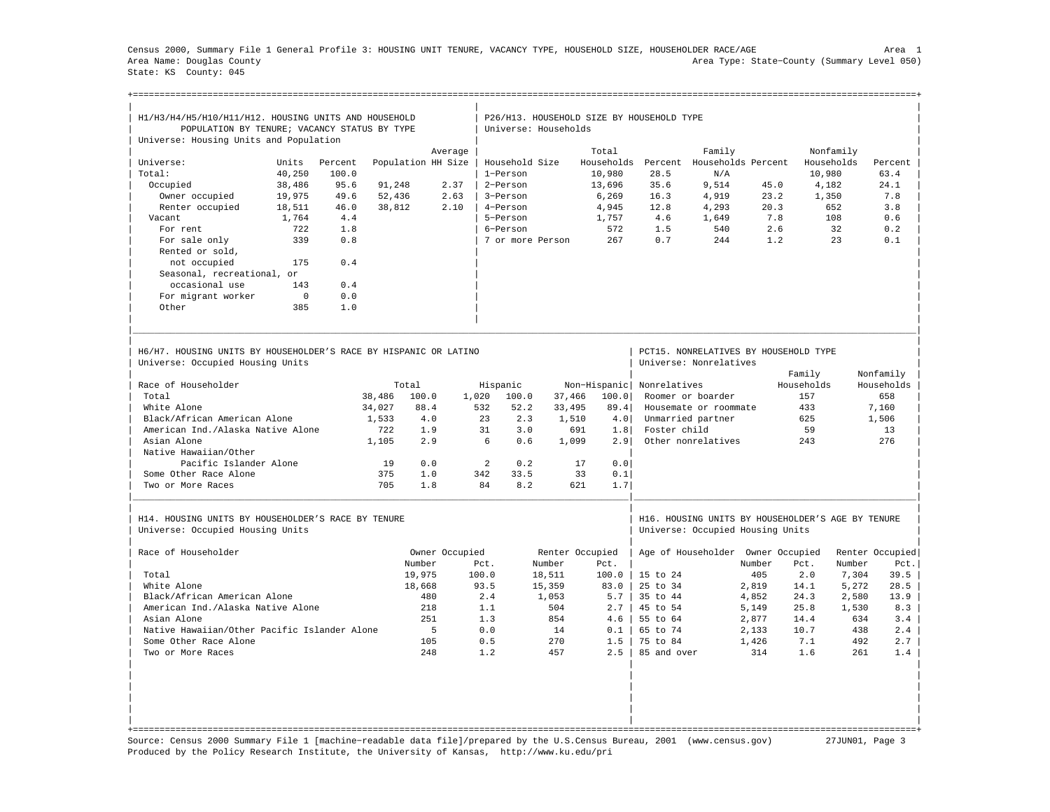Census 2000, Summary File 1 General Profile 3: HOUSING UNIT TENURE, VACANCY TYPE, HOUSEHOLD SIZE, HOUSEHOLDER RACE/AGE Area 1 Area Name: Douglas County Area Type: State−County (Summary Level 050) State: KS County: 045

| H1/H3/H4/H5/H10/H11/H12. HOUSING UNITS AND HOUSEHOLD                                                 |          |         |        |                    |                |                       |        | P26/H13. HOUSEHOLD SIZE BY HOUSEHOLD TYPE |                     |                                                                                       |        |            |            |                 |
|------------------------------------------------------------------------------------------------------|----------|---------|--------|--------------------|----------------|-----------------------|--------|-------------------------------------------|---------------------|---------------------------------------------------------------------------------------|--------|------------|------------|-----------------|
| POPULATION BY TENURE; VACANCY STATUS BY TYPE                                                         |          |         |        |                    |                | Universe: Households  |        |                                           |                     |                                                                                       |        |            |            |                 |
| Universe: Housing Units and Population                                                               |          |         |        |                    |                |                       |        |                                           |                     |                                                                                       |        |            |            |                 |
|                                                                                                      |          |         |        |                    | Average        |                       |        | Total                                     |                     | Family                                                                                |        |            | Nonfamily  |                 |
| Universe:                                                                                            | Units    | Percent |        | Population HH Size |                | Household Size        |        | Households                                |                     | Percent Households Percent                                                            |        |            | Households | Percent         |
| Total:                                                                                               | 40,250   | 100.0   |        |                    |                | 1-Person              |        | 10,980                                    | 28.5                | N/A                                                                                   |        |            | 10,980     | 63.4            |
| Occupied                                                                                             | 38,486   | 95.6    | 91,248 |                    | 2.37           | 2-Person              |        | 13,696                                    | 35.6                | 9,514                                                                                 | 45.0   |            | 4,182      | 24.1            |
| Owner occupied                                                                                       | 19,975   | 49.6    | 52,436 |                    | 2.63           | 3-Person              |        | 6,269                                     | 16.3                | 4,919                                                                                 | 23.2   |            | 1,350      | 7.8             |
| Renter occupied                                                                                      | 18,511   | 46.0    | 38,812 |                    | 2.10           | 4-Person              |        | 4,945                                     | 12.8                | 4,293                                                                                 | 20.3   |            | 652        | 3.8             |
| Vacant                                                                                               | 1,764    | 4.4     |        |                    |                | 5-Person              |        | 1.757                                     | 4.6                 | 1,649                                                                                 | 7.8    |            | 108        | 0.6             |
| For rent                                                                                             | 722      | 1.8     |        |                    |                | 6-Person              |        | 572                                       | 1.5                 | 540                                                                                   | 2.6    |            | 32         | $0.2\,$         |
| For sale only                                                                                        | 339      | 0.8     |        |                    |                | 7 or more Person      |        | 267                                       | 0.7                 | 244                                                                                   | 1.2    |            | 2.3        | 0.1             |
| Rented or sold,                                                                                      |          |         |        |                    |                |                       |        |                                           |                     |                                                                                       |        |            |            |                 |
| not occupied                                                                                         | 175      | 0.4     |        |                    |                |                       |        |                                           |                     |                                                                                       |        |            |            |                 |
| Seasonal, recreational, or                                                                           |          |         |        |                    |                |                       |        |                                           |                     |                                                                                       |        |            |            |                 |
| occasional use                                                                                       | 143      | 0.4     |        |                    |                |                       |        |                                           |                     |                                                                                       |        |            |            |                 |
| For migrant worker                                                                                   | $\Omega$ | 0.0     |        |                    |                |                       |        |                                           |                     |                                                                                       |        |            |            |                 |
| Other                                                                                                | 385      | 1.0     |        |                    |                |                       |        |                                           |                     |                                                                                       |        |            |            |                 |
| H6/H7. HOUSING UNITS BY HOUSEHOLDER'S RACE BY HISPANIC OR LATINO<br>Universe: Occupied Housing Units |          |         |        |                    |                |                       |        |                                           |                     | PCT15. NONRELATIVES BY HOUSEHOLD TYPE<br>Universe: Nonrelatives                       |        |            |            |                 |
|                                                                                                      |          |         |        |                    |                |                       |        |                                           |                     |                                                                                       |        | Family     |            | Nonfamily       |
| Race of Householder                                                                                  |          |         |        | Total              |                | Hispanic              |        | Non-Hispanic                              | Nonrelatives        |                                                                                       |        | Households |            | Households      |
| Total                                                                                                |          |         | 38,486 | 100.0              | 1,020          | 100.0                 | 37,466 | 100.0                                     |                     | Roomer or boarder                                                                     |        | 157        |            | 658             |
| White Alone                                                                                          |          |         | 34,027 | 88.4               |                | 532<br>52.2           | 33,495 | 89.4                                      |                     | Housemate or roommate                                                                 |        | 433        |            | 7.160           |
| Black/African American Alone                                                                         |          |         | 1,533  | 4.0                |                | 2.3<br>2.3            | 1,510  | 4.0                                       |                     | Unmarried partner                                                                     |        | 625        |            | 1,506           |
| American Ind./Alaska Native Alone                                                                    |          |         | 722    | 1.9                |                | 31<br>3.0             |        | 691<br>1.8                                | Foster child        |                                                                                       |        | 59         |            | 13              |
| Asian Alone                                                                                          |          |         | 1,105  | 2.9                |                | 6<br>0.6              | 1,099  | 2.9                                       |                     | Other nonrelatives                                                                    |        | 243        |            | 276             |
| Native Hawaiian/Other                                                                                |          |         |        |                    |                |                       |        |                                           |                     |                                                                                       |        |            |            |                 |
| Pacific Islander Alone                                                                               |          |         | 19     | 0.0                |                | $\overline{2}$<br>0.2 |        | 17<br>0.0                                 |                     |                                                                                       |        |            |            |                 |
| Some Other Race Alone                                                                                |          |         | 375    | 1.0                |                | 33.5<br>342           |        | 33<br>0.1                                 |                     |                                                                                       |        |            |            |                 |
| Two or More Races                                                                                    |          |         | 705    | 1.8                |                | 84<br>8.2             |        | 621<br>1.7                                |                     |                                                                                       |        |            |            |                 |
| H14. HOUSING UNITS BY HOUSEHOLDER'S RACE BY TENURE<br>Universe: Occupied Housing Units               |          |         |        |                    |                |                       |        |                                           |                     | H16. HOUSING UNITS BY HOUSEHOLDER'S AGE BY TENURE<br>Universe: Occupied Housing Units |        |            |            |                 |
| Race of Householder                                                                                  |          |         |        |                    | Owner Occupied |                       |        | Renter Occupied                           |                     | Age of Householder Owner Occupied                                                     |        |            |            | Renter Occupied |
|                                                                                                      |          |         |        | Number             |                | Pct.                  | Number | Pct.                                      |                     |                                                                                       | Number | Pct.       | Number     | Pct.            |
| Total                                                                                                |          |         |        | 19,975             |                | 100.0                 | 18,511 | 100.0                                     | 15 to 24            |                                                                                       | 405    | 2.0        | 7,304      | 39.5            |
| White Alone                                                                                          |          |         |        | 18,668             |                | 93.5                  | 15,359 | 83.0                                      | $25 \text{ to } 34$ |                                                                                       | 2,819  | 14.1       | 5,272      | 28.5            |
| Black/African American Alone                                                                         |          |         |        | 480                |                | 2.4                   | 1,053  | 5.7                                       | 35 to 44            |                                                                                       | 4,852  | 24.3       | 2,580      | 13.9            |
| American Ind./Alaska Native Alone                                                                    |          |         |        | 218                |                | 1.1                   | 504    | 2.7                                       | 45 to 54            |                                                                                       | 5,149  | 25.8       | 1,530      | 8.3             |
| Asian Alone                                                                                          |          |         |        | 251                |                | 1.3                   | 854    | 4.6                                       | 55 to 64            |                                                                                       | 2,877  | 14.4       | 634        | 3.4             |
| Native Hawaiian/Other Pacific Islander Alone                                                         |          |         |        | -5                 |                | 0.0                   | 14     | $0.1$                                     | 65 to 74            |                                                                                       | 2,133  | 10.7       | 438        | 2.4             |
| Some Other Race Alone                                                                                |          |         |        | 105                |                | 0.5                   | 270    | 1.5                                       | 75 to 84            |                                                                                       | 1,426  | 7.1        | 492        | 2.7             |
| Two or More Races                                                                                    |          |         |        | 248                |                | 1.2                   | 457    | 2.5                                       | 85 and over         |                                                                                       | 314    | 1.6        | 261        | 1.4             |
|                                                                                                      |          |         |        |                    |                |                       |        |                                           |                     |                                                                                       |        |            |            |                 |
|                                                                                                      |          |         |        |                    |                |                       |        |                                           |                     |                                                                                       |        |            |            |                 |

Source: Census 2000 Summary File 1 [machine−readable data file]/prepared by the U.S.Census Bureau, 2001 (www.census.gov) 27JUN01, Page 3 Produced by the Policy Research Institute, the University of Kansas, http://www.ku.edu/pri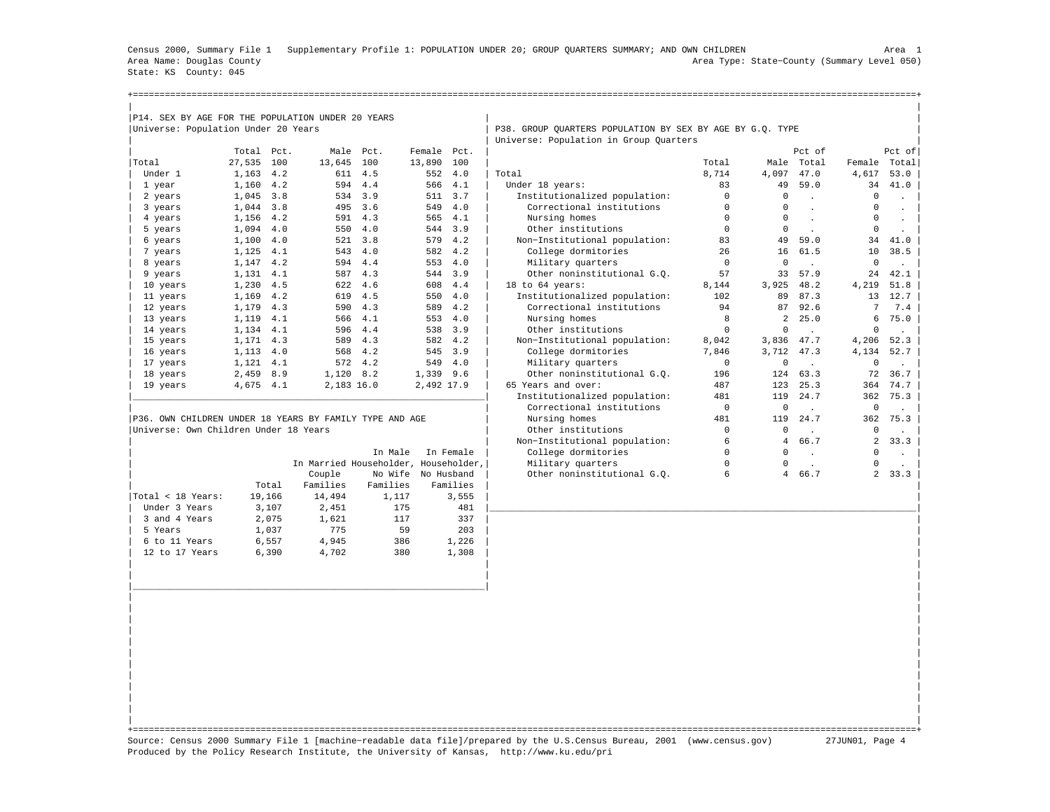Census 2000, Summary File 1 Supplementary Profile 1: POPULATION UNDER 20; GROUP QUARTERS SUMMARY; AND OWN CHILDREN Area 1 Area Name: Douglas County Area Type: State−County (Summary Level 050) State: KS County: 045

+===================================================================================================================================================+

|                                                         | Universe: Population Under 20 Years | P14. SEX BY AGE FOR THE POPULATION UNDER 20 YEARS |                                      |             |           | P38. GROUP QUARTERS POPULATION BY SEX BY AGE BY G.Q. TYPE |              |                |                      |                 |                             |
|---------------------------------------------------------|-------------------------------------|---------------------------------------------------|--------------------------------------|-------------|-----------|-----------------------------------------------------------|--------------|----------------|----------------------|-----------------|-----------------------------|
|                                                         |                                     |                                                   |                                      |             |           | Universe: Population in Group Quarters                    |              |                |                      |                 |                             |
|                                                         | Total Pct.                          |                                                   | Male Pct.                            | Female Pct. |           |                                                           |              |                | Pct of               |                 | Pct of                      |
| Total                                                   | 27,535 100                          | 13,645                                            | 100                                  | 13,890      | 100       |                                                           | Total        |                | Male Total           | Female Total    |                             |
| Under 1                                                 | 1,163 4.2                           |                                                   | 611 4.5                              | 552         | 4.0       | Total                                                     | 8.714        | 4,097          | 47.0                 | 4,617           | 53.0                        |
| 1 year                                                  | 1,160 4.2                           |                                                   | 594 4.4                              |             | 566 4.1   | Under 18 years:                                           | 83           | 49             | 59.0                 | 34              | 41.0                        |
| 2 years                                                 | 1,045 3.8                           |                                                   | 534 3.9                              |             | 511 3.7   | Institutionalized population:                             | $\mathsf{O}$ | $\circ$        | $\ddot{\phantom{a}}$ | $\circ$         | $\mathcal{L}^{\pm}$         |
| 3 years                                                 | 1,044 3.8                           | 495                                               | 3.6                                  |             | 549 4.0   | Correctional institutions                                 | $\circ$      | $\mathbf 0$    | $\ddot{\phantom{a}}$ | $\mathbf 0$     | $\mathbf{r}$ .              |
| 4 years                                                 | 1,156 4.2                           |                                                   | 591 4.3                              |             | 565 4.1   | Nursing homes                                             | $\mathsf 0$  | $\mathbf 0$    | $\mathbf{r}$         | $\mathbf 0$     | $\mathbb{Z}^2$              |
| 5 years                                                 | 1,094 4.0                           | 550                                               | 4.0                                  |             | 544 3.9   | Other institutions                                        | $\Omega$     | $\mathbf 0$    | $\sim$               | $\Omega$        | $\ddot{\phantom{0}}$        |
| 6 years                                                 | 1,100                               | 4.0<br>521                                        | 3.8                                  | 579         | 4.2       | Non-Institutional population:                             | 83           | 49             | 59.0                 | 34              | 41.0                        |
| 7 years                                                 | 1,125 4.1                           |                                                   | 543 4.0                              |             | 582 4.2   | College dormitories                                       | 26           | 16             | 61.5                 | 10              | 38.5                        |
| 8 years                                                 | 1,147 4.2                           | 594                                               | 4.4                                  |             | 553 4.0   | Military quarters                                         | $\mathbf 0$  | $\mathbf 0$    | $\sim$               | $\mathbf 0$     | $\sim$                      |
| 9 years                                                 | 1,131 4.1                           |                                                   | 587 4.3                              |             | 544 3.9   | Other noninstitutional G.O.                               | 57           | 33             | 57.9                 | 24              | 42.1                        |
| 10 years                                                | 1,230 4.5                           |                                                   | 622 4.6                              |             | 608 4.4   | 18 to 64 years:                                           | 8,144        | 3,925          | 48.2                 | 4,219           | 51.8                        |
| 11 years                                                | 1,169 4.2                           | 619                                               | 4.5                                  |             | 550 4.0   | Institutionalized population:                             | 102          | 89             | 87.3                 | 13              | 12.7                        |
| 12 years                                                | 1,179 4.3                           |                                                   | 590 4.3                              |             | 589 4.2   | Correctional institutions                                 | 94           | 87             | 92.6                 | $7\overline{ }$ | 7.4                         |
| 13 years                                                | 1,119 4.1                           | 566                                               | 4.1                                  |             | 553 4.0   | Nursing homes                                             | 8            | $\overline{a}$ | 25.0                 | 6               | 75.0                        |
| 14 years                                                | 1,134 4.1                           |                                                   | 596 4.4                              |             | 538 3.9   | Other institutions                                        | $\circ$      | $\mathbf 0$    | $\ddot{\phantom{a}}$ | $\circ$         | $\sim$                      |
| 15 years                                                | 1,171 4.3                           | 589                                               | 4.3                                  |             | 582 4.2   | Non-Institutional population:                             | 8,042        | 3,836          | 47.7                 | 4,206           | 52.3                        |
| 16 years                                                | $1,113$ 4.0                         |                                                   | 568 4.2                              |             | 545 3.9   | College dormitories                                       | 7,846        | 3,712 47.3     |                      | 4,134           | 52.7                        |
| 17 years                                                | 1,121 4.1                           |                                                   | 572 4.2                              | 549         | 4.0       | Military quarters                                         | $\mathbf 0$  | $\mathbf 0$    | $\sim$               | 0               | $\mathbf{L}^{\mathrm{max}}$ |
| 18 years                                                | 2,459 8.9                           | 1,120                                             | 8.2                                  | 1,339 9.6   |           | Other noninstitutional G.O.                               | 196          | 124            | 63.3                 | 72              | 36.7                        |
| 19 years                                                | 4,675 4.1                           |                                                   | 2,183 16.0                           | 2,492 17.9  |           | 65 Years and over:                                        | 487          |                | 123 25.3             | 364             | 74.7                        |
|                                                         |                                     |                                                   |                                      |             |           | Institutionalized population:                             | 481          | 119            | 24.7                 | 362             | 75.3                        |
|                                                         |                                     |                                                   |                                      |             |           | Correctional institutions                                 | $\mathsf 0$  | $\mathbf 0$    |                      | 0               | $\mathbf{L}$                |
| P36. OWN CHILDREN UNDER 18 YEARS BY FAMILY TYPE AND AGE |                                     |                                                   |                                      |             |           | Nursing homes                                             | 481          | 119            | 24.7                 | 362             | 75.3                        |
| Universe: Own Children Under 18 Years                   |                                     |                                                   |                                      |             |           | Other institutions                                        | $\mathbf 0$  | $\circ$        | $\mathbf{r}$         | 0               | $\mathbf{r}$                |
|                                                         |                                     |                                                   |                                      |             |           | Non-Institutional population:                             | 6            | $\overline{4}$ | 66.7                 | $\overline{a}$  | 33.3                        |
|                                                         |                                     |                                                   | In Male                              |             | In Female | College dormitories                                       | $\circ$      | $\circ$        | $\sim$               | $\Omega$        | $\sim$ 1                    |
|                                                         |                                     |                                                   |                                      |             |           |                                                           |              |                |                      | 0               | $\mathbf{r}$                |
|                                                         |                                     |                                                   | In Married Householder, Householder, |             |           | Military quarters                                         | $\circ$      | $\circ$        | $\mathbf{r}$         |                 |                             |
|                                                         |                                     | Couple                                            | No Wife No Husband                   |             |           | Other noninstitutional G.Q.                               | 6            |                | 4 66.7               |                 |                             |
|                                                         | Total                               | Families                                          | Families                             |             | Families  |                                                           |              |                |                      |                 |                             |
| Total < 18 Years:                                       | 19,166                              | 14,494                                            | 1,117                                |             | 3,555     |                                                           |              |                |                      |                 |                             |
| Under 3 Years                                           | 3,107                               | 2,451                                             | 175                                  |             | 481       |                                                           |              |                |                      |                 |                             |
| 3 and 4 Years                                           | 2,075                               | 1,621                                             | 117                                  |             | 337       |                                                           |              |                |                      |                 |                             |
| 5 Years                                                 |                                     | 775                                               | 59                                   |             | 203       |                                                           |              |                |                      |                 |                             |
|                                                         | 1,037                               |                                                   |                                      |             |           |                                                           |              |                |                      |                 |                             |
| 6 to 11 Years                                           | 6,557                               | 4,945                                             | 386                                  |             | 1,226     |                                                           |              |                |                      |                 |                             |
| 12 to 17 Years                                          | 6,390                               | 4,702                                             | 380                                  |             | 1,308     |                                                           |              |                |                      |                 |                             |
|                                                         |                                     |                                                   |                                      |             |           |                                                           |              |                |                      |                 |                             |
|                                                         |                                     |                                                   |                                      |             |           |                                                           |              |                |                      |                 |                             |
|                                                         |                                     |                                                   |                                      |             |           |                                                           |              |                |                      |                 | 2, 33.3                     |
|                                                         |                                     |                                                   |                                      |             |           |                                                           |              |                |                      |                 |                             |
|                                                         |                                     |                                                   |                                      |             |           |                                                           |              |                |                      |                 |                             |
|                                                         |                                     |                                                   |                                      |             |           |                                                           |              |                |                      |                 |                             |
|                                                         |                                     |                                                   |                                      |             |           |                                                           |              |                |                      |                 |                             |
|                                                         |                                     |                                                   |                                      |             |           |                                                           |              |                |                      |                 |                             |
|                                                         |                                     |                                                   |                                      |             |           |                                                           |              |                |                      |                 |                             |

| | +===================================================================================================================================================+ Source: Census 2000 Summary File 1 [machine−readable data file]/prepared by the U.S.Census Bureau, 2001 (www.census.gov) 27JUN01, Page 4 Produced by the Policy Research Institute, the University of Kansas, http://www.ku.edu/pri

| | | |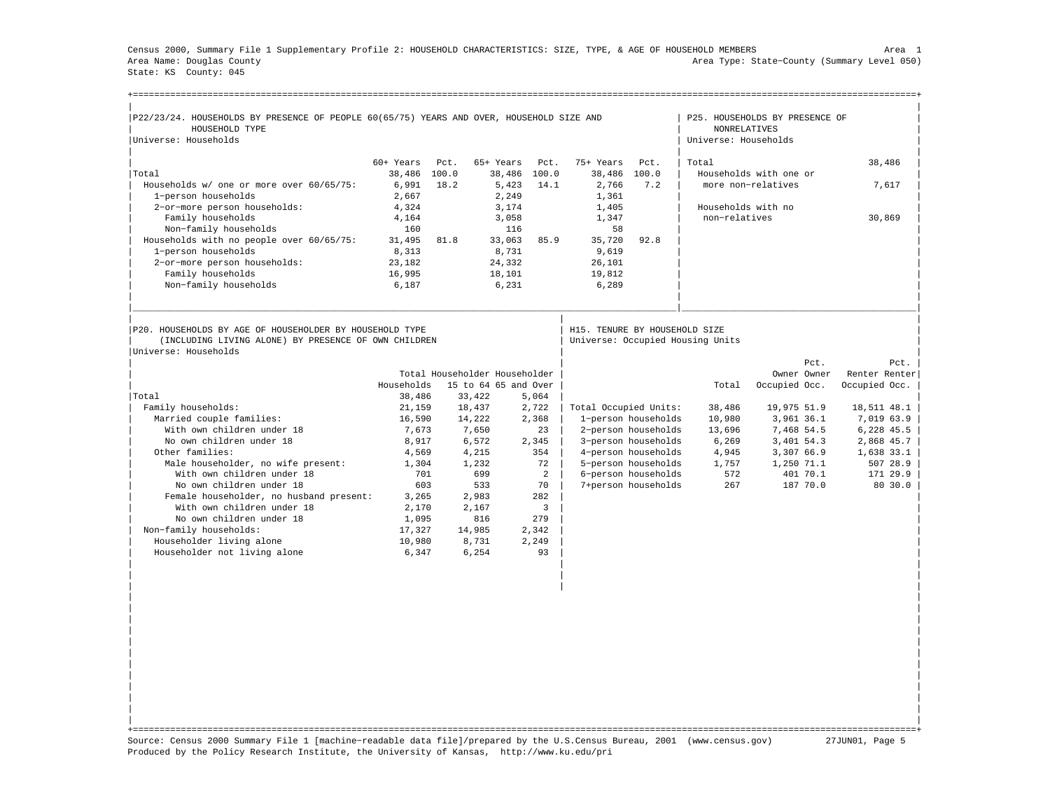Census 2000, Summary File 1 Supplementary Profile 2: HOUSEHOLD CHARACTERISTICS: SIZE, TYPE, & AGE OF HOUSEHOLD MEMBERS Area 1 Area Name: Douglas County Area Type: State−County (Summary Level 050) State: KS County: 045

| P22/23/24. HOUSEHOLDS BY PRESENCE OF PEOPLE 60(65/75) YEARS AND OVER, HOUSEHOLD SIZE AND<br>HOUSEHOLD TYPE |                 |      |                               |             |                               |                     | P25. HOUSEHOLDS BY PRESENCE OF<br><b>NONRELATIVES</b> |                        |          |               |                                         |
|------------------------------------------------------------------------------------------------------------|-----------------|------|-------------------------------|-------------|-------------------------------|---------------------|-------------------------------------------------------|------------------------|----------|---------------|-----------------------------------------|
| Universe: Households                                                                                       |                 |      |                               |             |                               |                     | Universe: Households                                  |                        |          |               |                                         |
|                                                                                                            | $60+$ Years     |      | 65+ Years                     |             |                               |                     |                                                       |                        |          |               |                                         |
| Total                                                                                                      | 38,486 100.0    | Pct. | 38,486 100.0                  | Pct.        | 75+ Years<br>38,486           | Pct.<br>100.0       | Total                                                 | Households with one or |          | 38,486        |                                         |
| Households w/ one or more over 60/65/75:                                                                   | 6,991           | 18.2 | 5,423                         | 14.1        | 2,766                         | 7.2                 |                                                       | more non-relatives     |          |               | 7,617                                   |
| 1-person households                                                                                        | 2,667           |      | 2,249                         |             | 1,361                         |                     |                                                       |                        |          |               |                                         |
| 2-or-more person households:                                                                               | 4,324           |      | 3,174                         |             | 1,405                         |                     |                                                       | Households with no     |          |               |                                         |
| Family households                                                                                          | 4,164           |      | 3,058                         |             | 1,347                         |                     | non-relatives                                         |                        |          | 30,869        |                                         |
| Non-family households                                                                                      | 160             |      | 116                           |             | 58                            |                     |                                                       |                        |          |               |                                         |
| Households with no people over 60/65/75:                                                                   | 31,495          | 81.8 | 33,063                        | 85.9        | 35,720                        | 92.8                |                                                       |                        |          |               |                                         |
| 1-person households                                                                                        | 8,313           |      | 8,731                         |             | 9,619                         |                     |                                                       |                        |          |               |                                         |
| 2-or-more person households:                                                                               | 23,182          |      | 24,332                        |             | 26,101                        |                     |                                                       |                        |          |               |                                         |
| Family households                                                                                          | 16,995          |      | 18,101                        |             | 19,812                        |                     |                                                       |                        |          |               |                                         |
| Non-family households                                                                                      | 6,187           |      | 6,231                         |             | 6,289                         |                     |                                                       |                        |          |               |                                         |
|                                                                                                            |                 |      |                               |             |                               |                     |                                                       |                        |          |               |                                         |
| P20. HOUSEHOLDS BY AGE OF HOUSEHOLDER BY HOUSEHOLD TYPE                                                    |                 |      |                               |             | H15. TENURE BY HOUSEHOLD SIZE |                     |                                                       |                        |          |               |                                         |
| (INCLUDING LIVING ALONE) BY PRESENCE OF OWN CHILDREN<br>Universe: Households                               |                 |      |                               |             |                               |                     | Universe: Occupied Housing Units                      |                        |          |               |                                         |
|                                                                                                            |                 |      |                               |             |                               |                     |                                                       |                        | Pct.     |               |                                         |
|                                                                                                            |                 |      | Total Householder Householder |             |                               |                     |                                                       | Owner Owner            |          | Renter Renter |                                         |
|                                                                                                            | Households      |      | 15 to 64 65 and Over          |             |                               |                     | Total                                                 | Occupied Occ.          |          | Occupied Occ. |                                         |
| Total                                                                                                      | 38,486          |      | 33,422                        | 5,064       |                               |                     |                                                       |                        |          |               |                                         |
| Family households:                                                                                         | 21,159          |      | 18,437                        | 2,722       | Total Occupied Units:         |                     | 38,486                                                | 19,975 51.9            |          | 18,511 48.1   |                                         |
| Married couple families:                                                                                   | 16,590          |      | 14,222                        | 2,368       |                               | 1-person households | 10,980                                                | 3,961 36.1             |          | 7,019 63.9    |                                         |
| With own children under 18                                                                                 | 7,673           |      | 7,650                         | 23          |                               | 2-person households | 13,696                                                | 7,468 54.5             |          | 6,228 45.5    |                                         |
| No own children under 18                                                                                   | 8,917           |      | 6,572                         | 2,345       |                               | 3-person households | 6,269                                                 | 3,401 54.3             |          | 2,868 45.7    |                                         |
| Other families:                                                                                            | 4,569           |      | 4,215                         | 354         |                               | 4-person households | 4,945                                                 | 3,307 66.9             |          | $1,638$ 33.1  |                                         |
| Male householder, no wife present:                                                                         | 1,304           |      | 1,232                         | 72          |                               | 5-person households | 1,757                                                 | 1,250 71.1             |          |               |                                         |
| With own children under 18                                                                                 | 701             |      | 699                           | 2           |                               | 6-person households | 572                                                   |                        | 401 70.1 |               |                                         |
| No own children under 18                                                                                   | 603             |      | 533                           | 70          |                               | 7+person households | 267                                                   | 187 70.0               |          |               |                                         |
| Female householder, no husband present:                                                                    | 3,265           |      | 2,983                         | 282         |                               |                     |                                                       |                        |          |               |                                         |
| With own children under 18                                                                                 | 2,170           |      | 2,167                         | 3           |                               |                     |                                                       |                        |          |               |                                         |
| No own children under 18                                                                                   | 1,095           |      | 816                           | 279         |                               |                     |                                                       |                        |          |               |                                         |
| Non-family households:                                                                                     | 17,327          |      | 14,985                        | 2,342       |                               |                     |                                                       |                        |          |               |                                         |
| Householder living alone<br>Householder not living alone                                                   | 10,980<br>6,347 |      | 8,731<br>6,254                | 2,249<br>93 |                               |                     |                                                       |                        |          |               | Pct.<br>507 28.9<br>171 29.9<br>80 30.0 |

| | +===================================================================================================================================================+ Source: Census 2000 Summary File 1 [machine−readable data file]/prepared by the U.S.Census Bureau, 2001 (www.census.gov) 27JUN01, Page 5 Produced by the Policy Research Institute, the University of Kansas, http://www.ku.edu/pri

| | | | | | | | | | | | | | | | | | | | | |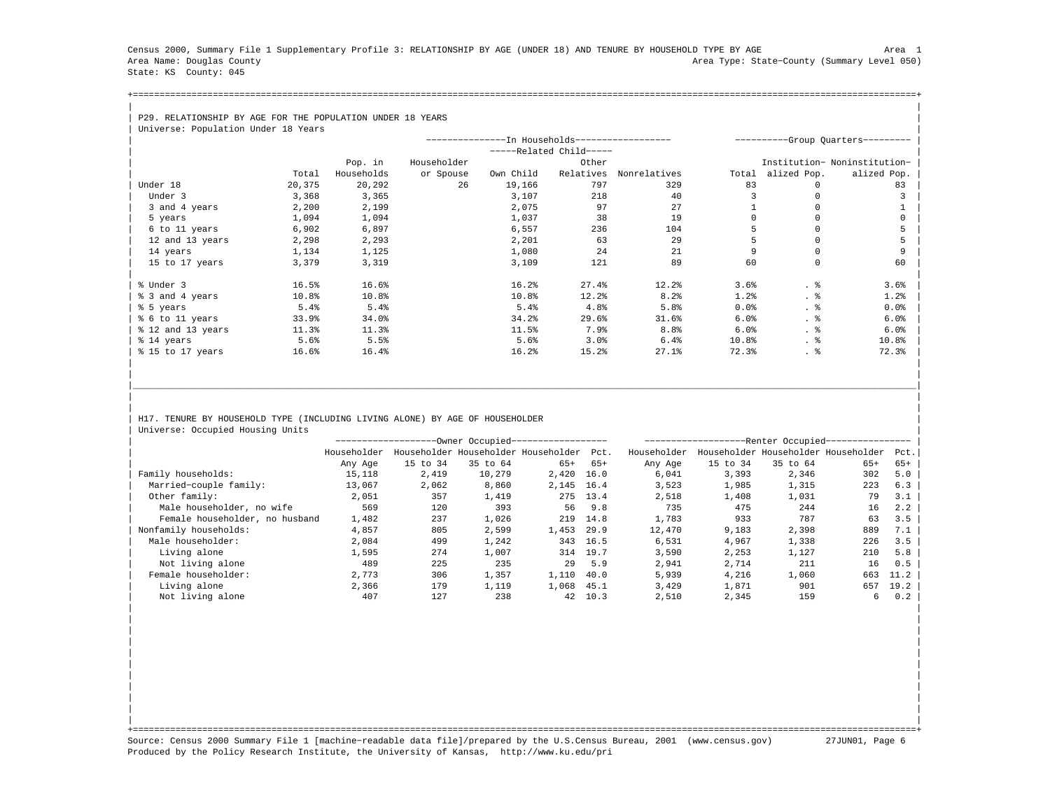Census 2000, Summary File 1 Supplementary Profile 3: RELATIONSHIP BY AGE (UNDER 18) AND TENURE BY HOUSEHOLD TYPE BY AGE Area 1 Area Name: Douglas County Area Type: State−County (Summary Level 050) State: KS County: 045

+===================================================================================================================================================+| |

| P29. RELATIONSHIP BY AGE FOR THE POPULATION UNDER 18 YEARS |  |
|------------------------------------------------------------|--|
| Universed: Benulation Under 18 Vears                       |  |

| Universe: Population Under 18 Years |                     |             |                                                |                         |                  |       |             |                                  |
|-------------------------------------|---------------------|-------------|------------------------------------------------|-------------------------|------------------|-------|-------------|----------------------------------|
|                                     |                     |             | ---------------In Households------------------ |                         |                  |       |             | ---------Group Ouarters--------- |
|                                     |                     |             |                                                | -----Related Child----- |                  |       |             |                                  |
|                                     | Pop. in             | Householder |                                                | Other                   |                  |       |             | Institution- Noninstitution-     |
|                                     | Households<br>Total | or Spouse   | Own Child                                      | Relatives               | Nonrelatives     | Total | alized Pop. | alized Pop.                      |
| Under 18                            | 20,375<br>20,292    | 26          | 19,166                                         | 797                     | 329              | 83    | 0           | 83                               |
| Under 3                             | 3,368<br>3,365      |             | 3,107                                          | 218                     | 40               |       |             |                                  |
| 3 and 4 years                       | 2,199<br>2,200      |             | 2,075                                          | 97                      | 27               |       |             |                                  |
| 5 years                             | 1,094<br>1,094      |             | 1,037                                          | 38                      | 19               |       |             |                                  |
| 6 to 11 years                       | 6,897<br>6,902      |             | 6,557                                          | 236                     | 104              |       |             |                                  |
| 12 and 13 years                     | 2,298<br>2,293      |             | 2,201                                          | 63                      | 29               |       |             |                                  |
| 14 years                            | 1,125<br>1,134      |             | 1,080                                          | 2.4                     | 21               |       |             |                                  |
| 15 to 17 years                      | 3,379<br>3,319      |             | 3,109                                          | 121                     | 89               | 60    | $\Omega$    | 60                               |
|                                     |                     |             |                                                |                         |                  |       |             |                                  |
| % Under 3                           | 16.5%<br>16.6%      |             | 16.2%                                          | 27.4%                   | 12.2             | 3.6%  | . 응         | 3.6%                             |
| % 3 and 4 years                     | 10.8%<br>10.8%      |             | 10.8%                                          | $12.2$ <sup>8</sup>     | 8.2%             | 1.2%  | . 응         | 1.2%                             |
| % 5 years                           | 5.4%<br>5.4%        |             | 5.4%                                           | 4.8%                    | 5.8%             | 0.0%  | . ક         | $0.0$ $%$                        |
| % 6 to 11 years                     | 34.0%<br>33.9%      |             | 34.2%                                          | 29.6%                   | 31.6%            | 6.0%  | . 응         | 6.0%                             |
| % 12 and 13 years                   | 11.3%<br>11.3%      |             | 11.5%                                          | 7.9%                    | 8.8 <sup>8</sup> | 6.0%  | . 응         | 6.0%                             |
| % 14 years                          | 5.5%<br>5.6%        |             | 5.6%                                           | 3.0%                    | 6.4%             | 10.8% | . 응         | 10.8%                            |
| % 15 to 17 years                    | 16.4%<br>16.6%      |             | 16.2%                                          | 15.2%                   | 27.1%            | 72.3% | . 응         | 72.3%                            |
|                                     |                     |             |                                                |                         |                  |       |             |                                  |

H17. TENURE BY HOUSEHOLD TYPE (INCLUDING LIVING ALONE) BY AGE OF HOUSEHOLDER Universe: Occupied Housing Units

|                                |             |          | ---Owner Occupied------------------      |       |       |             |          | --Renter Occupied-- |                                     |       |
|--------------------------------|-------------|----------|------------------------------------------|-------|-------|-------------|----------|---------------------|-------------------------------------|-------|
|                                | Householder |          | Householder Householder Householder Pct. |       |       | Householder |          |                     | Householder Householder Householder | Pct.  |
|                                | Any Age     | 15 to 34 | 35 to 64                                 | $65+$ | $65+$ | Any Age     | 15 to 34 | 35 to 64            | $65+$                               | $65+$ |
| Family households:             | 15,118      | 2,419    | 10,279                                   | 2,420 | 16.0  | 6,041       | 3,393    | 2,346               | 302                                 | 5.0   |
| Married-couple family:         | 13,067      | 2,062    | 8,860                                    | 2,145 | 16.4  | 3,523       | 1,985    | 1,315               | 223                                 | 6.3   |
| Other family:                  | 2,051       | 357      | 1,419                                    | 275   | 13.4  | 2,518       | 1,408    | 1,031               | 79                                  | 3.1   |
| Male householder, no wife      | 569         | 120      | 393                                      | 56    | 9.8   | 735         | 475      | 244                 | 16                                  | 2.2   |
| Female householder, no husband | 1,482       | 237      | 1,026                                    | 219   | 14.8  | 1,783       | 933      | 787                 | 63                                  | 3.5   |
| Nonfamily households:          | 4,857       | 805      | 2,599                                    | 1,453 | 29.9  | 12,470      | 9,183    | 2,398               | 889                                 | 7.1   |
| Male householder:              | 2,084       | 499      | 1,242                                    | 343   | 16.5  | 6,531       | 4,967    | 1,338               | 226                                 | 3.5   |
| Living alone                   | 1,595       | 274      | 1,007                                    | 314   | 19.7  | 3,590       | 2,253    | 1,127               | 210                                 | 5.8   |
| Not living alone               | 489         | 225      | 235                                      | 29    | 5.9   | 2,941       | 2,714    | 211                 | 16                                  | 0.5   |
| Female householder:            | 2.773       | 306      | 1,357                                    | 1,110 | 40.0  | 5,939       | 4,216    | 1,060               | 663                                 | 11.2  |
| Living alone                   | 2,366       | 179      | 1,119                                    | 1,068 | 45.1  | 3,429       | 1,871    | 901                 | 657                                 | 19.2  |
| Not living alone               | 407         | 127      | 238                                      | 42    | 10.3  | 2,510       | 2,345    | 159                 | 6                                   | 0.2   |

| | | | | | | | | | | | | | | | | | | |

|\_\_\_\_\_\_\_\_\_\_\_\_\_\_\_\_\_\_\_\_\_\_\_\_\_\_\_\_\_\_\_\_\_\_\_\_\_\_\_\_\_\_\_\_\_\_\_\_\_\_\_\_\_\_\_\_\_\_\_\_\_\_\_\_\_\_\_\_\_\_\_\_\_\_\_\_\_\_\_\_\_\_\_\_\_\_\_\_\_\_\_\_\_\_\_\_\_\_\_\_\_\_\_\_\_\_\_\_\_\_\_\_\_\_\_\_\_\_\_\_\_\_\_\_\_\_\_\_\_\_\_\_\_\_\_\_\_\_\_\_\_\_\_\_\_\_\_| | | | |

| | +===================================================================================================================================================+ Source: Census 2000 Summary File 1 [machine−readable data file]/prepared by the U.S.Census Bureau, 2001 (www.census.gov) 27JUN01, Page 6 Produced by the Policy Research Institute, the University of Kansas, http://www.ku.edu/pri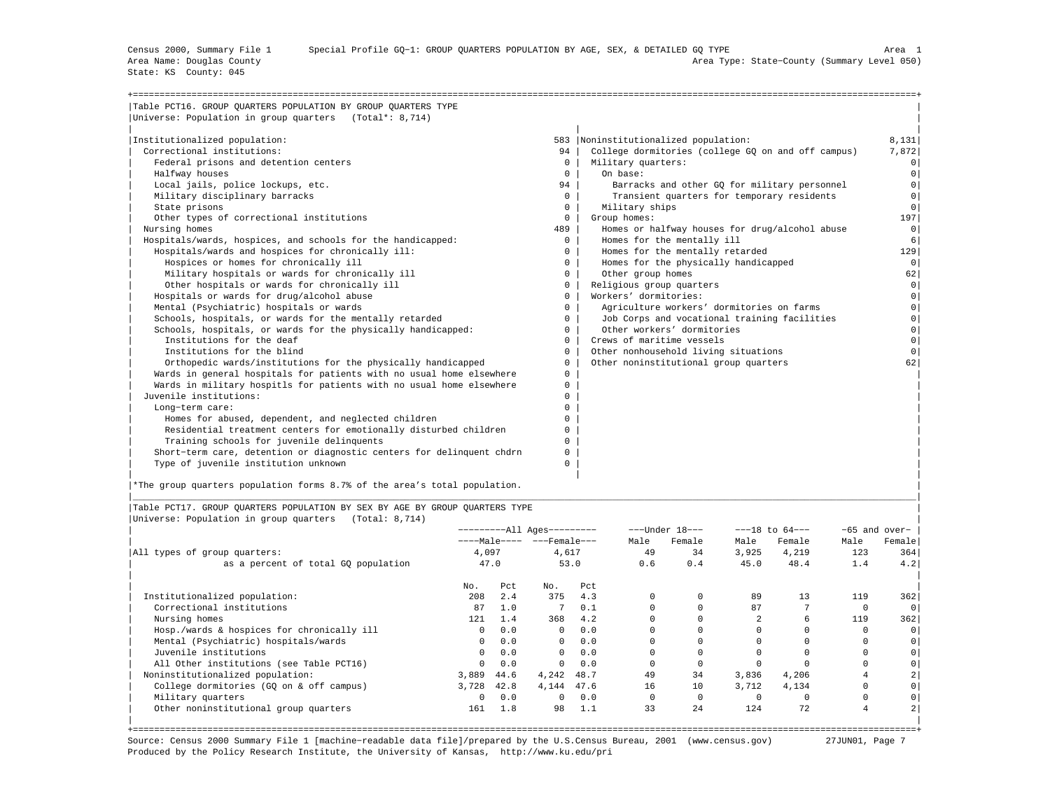State: KS County: 045

| Table PCT16. GROUP OUARTERS POPULATION BY GROUP OUARTERS TYPE         |              |                                                    |                |
|-----------------------------------------------------------------------|--------------|----------------------------------------------------|----------------|
| Universe: Population in group quarters (Total*: 8,714)                |              |                                                    |                |
| Institutionalized population:                                         |              | 583  Noninstitutionalized population:              | 8,131          |
| Correctional institutions:                                            | 94           | College dormitories (college GO on and off campus) | 7,872          |
| Federal prisons and detention centers                                 | $\mathbf{0}$ | Military quarters:                                 | 0 <sup>1</sup> |
| Halfway houses                                                        | $\Omega$     | On base:                                           | $\circ$        |
| Local jails, police lockups, etc.                                     | 94           | Barracks and other GO for military personnel       | $\circ$        |
| Military disciplinary barracks                                        | $\Omega$     | Transient quarters for temporary residents         | $\circ$        |
| State prisons                                                         | $\mathbf{0}$ | Military ships                                     | 0 <sup>1</sup> |
| Other types of correctional institutions                              | $\Omega$     | Group homes:                                       | 197            |
| Nursing homes                                                         | 489          | Homes or halfway houses for drug/alcohol abuse     | 0              |
| Hospitals/wards, hospices, and schools for the handicapped:           | $\Omega$     | Homes for the mentally ill                         | 6              |
| Hospitals/wards and hospices for chronically ill:                     | 0            | Homes for the mentally retarded                    | 129            |
| Hospices or homes for chronically ill                                 | $^{\circ}$   | Homes for the physically handicapped               | 0 <sup>1</sup> |
| Military hospitals or wards for chronically ill                       | $\mathbf{0}$ | Other group homes                                  | 62             |
| Other hospitals or wards for chronically ill                          | $\mathbf{0}$ | Religious group quarters                           | $\circ$        |
| Hospitals or wards for drug/alcohol abuse                             | $\Omega$     | Workers' dormitories:                              | $\Omega$       |
| Mental (Psychiatric) hospitals or wards                               | $\mathbf{0}$ | Agriculture workers' dormitories on farms          | $\Omega$       |
| Schools, hospitals, or wards for the mentally retarded                | $\Omega$     | Job Corps and vocational training facilities       | $\Omega$       |
| Schools, hospitals, or wards for the physically handicapped:          | $\Omega$     | Other workers' dormitories                         | $\circ$        |
| Institutions for the deaf                                             | $\Omega$     | Crews of maritime vessels                          | $\circ$        |
| Institutions for the blind                                            | $\mathbf{0}$ | Other nonhousehold living situations               | $\cap$         |
| Orthopedic wards/institutions for the physically handicapped          | $^{\circ}$   | Other noninstitutional group quarters              | 62             |
| Wards in general hospitals for patients with no usual home elsewhere  | $^{\circ}$   |                                                    |                |
| Wards in military hospitls for patients with no usual home elsewhere  | 0            |                                                    |                |
| Juvenile institutions:                                                | $\Omega$     |                                                    |                |
| Long-term care:                                                       | $\Omega$     |                                                    |                |
| Homes for abused, dependent, and neglected children                   | $\Omega$     |                                                    |                |
| Residential treatment centers for emotionally disturbed children      | 0            |                                                    |                |
| Training schools for juvenile delinquents                             | $\Omega$     |                                                    |                |
| Short-term care, detention or diagnostic centers for delinquent chdrn | 0            |                                                    |                |
| Type of juvenile institution unknown                                  | $\Omega$     |                                                    |                |

|\*The group quarters population forms 8.7% of the area's total population. |

|Table PCT17. GROUP QUARTERS POPULATION BY SEX BY AGE BY GROUP QUARTERS TYPE | |Universe: Population in group quarters (Total: 8,714) |

|                                            |              |      | ----------All Ages--------- |      |      | $---Under 18---$ |          | $---18$ to $64---$ |          | $-65$ and over- |
|--------------------------------------------|--------------|------|-----------------------------|------|------|------------------|----------|--------------------|----------|-----------------|
|                                            |              |      | ----Male---- ---Female---   |      | Male | Female           | Male     | Female             | Male     | Female          |
| All types of group quarters:               | 4,097        |      | 4,617                       |      | 49   | 34               | 3,925    | 4,219              | 123      | 364             |
| as a percent of total GQ population        |              | 47.0 |                             | 53.0 | 0.6  | 0.4              | 45.0     | 48.4               | 1.4      | 4.2             |
|                                            | No.          | Pct  | No.                         | Pct  |      |                  |          |                    |          |                 |
| Institutionalized population:              | 208          | 2.4  | 375                         | 4.3  |      |                  | 89       | 13                 | 119      | 362             |
| Correctional institutions                  | 87           | 1.0  |                             | 0.1  |      |                  | 87       |                    | 0        | $\overline{0}$  |
| Nursing homes                              | 121          | 1.4  | 368                         | 4.2  |      |                  |          | 6                  | 119      | 362             |
| Hosp./wards & hospices for chronically ill | $\circ$      | 0.0  | $\mathbf{0}$                | 0.0  |      |                  |          |                    | $\Omega$ | $\circ$         |
| Mental (Psychiatric) hospitals/wards       | $\circ$      | 0.0  | $\circ$                     | 0.0  |      |                  |          |                    |          | $\circ$         |
| Juvenile institutions                      | $\Omega$     | 0.0  | $\mathbf{0}$                | 0.0  |      |                  |          |                    |          | $\circ$         |
| All Other institutions (see Table PCT16)   | $\Omega$     | 0.0  | $\Omega$                    | 0.0  |      |                  |          |                    |          | $\circ$         |
| Noninstitutionalized population:           | 3,889        | 44.6 | 4,242                       | 48.7 | 49   | 34               | 3,836    | 4,206              |          | $2\vert$        |
| College dormitories (GO on & off campus)   | 3,728        | 42.8 | 4,144                       | 47.6 | 16   | 10               | 3,712    | 4,134              | 0        | $\circ$         |
| Military quarters                          | $\mathbf{0}$ | 0.0  | $^{\circ}$                  | 0.0  |      |                  | $\Omega$ |                    | 0        | $\circ$         |
| Other noninstitutional group quarters      | 161          | 1.8  | 98                          | 1.1  | 33   | 24               | 124      | 72                 | 4        |                 |

|\_\_\_\_\_\_\_\_\_\_\_\_\_\_\_\_\_\_\_\_\_\_\_\_\_\_\_\_\_\_\_\_\_\_\_\_\_\_\_\_\_\_\_\_\_\_\_\_\_\_\_\_\_\_\_\_\_\_\_\_\_\_\_\_\_\_\_\_\_\_\_\_\_\_\_\_\_\_\_\_\_\_\_\_\_\_\_\_\_\_\_\_\_\_\_\_\_\_\_\_\_\_\_\_\_\_\_\_\_\_\_\_\_\_\_\_\_\_\_\_\_\_\_\_\_\_\_\_\_\_\_\_\_\_\_\_\_\_\_\_\_\_\_\_\_\_\_|

+===================================================================================================================================================+ Source: Census 2000 Summary File 1 [machine−readable data file]/prepared by the U.S.Census Bureau, 2001 (www.census.gov) 27JUN01, Page 7 Produced by the Policy Research Institute, the University of Kansas, http://www.ku.edu/pri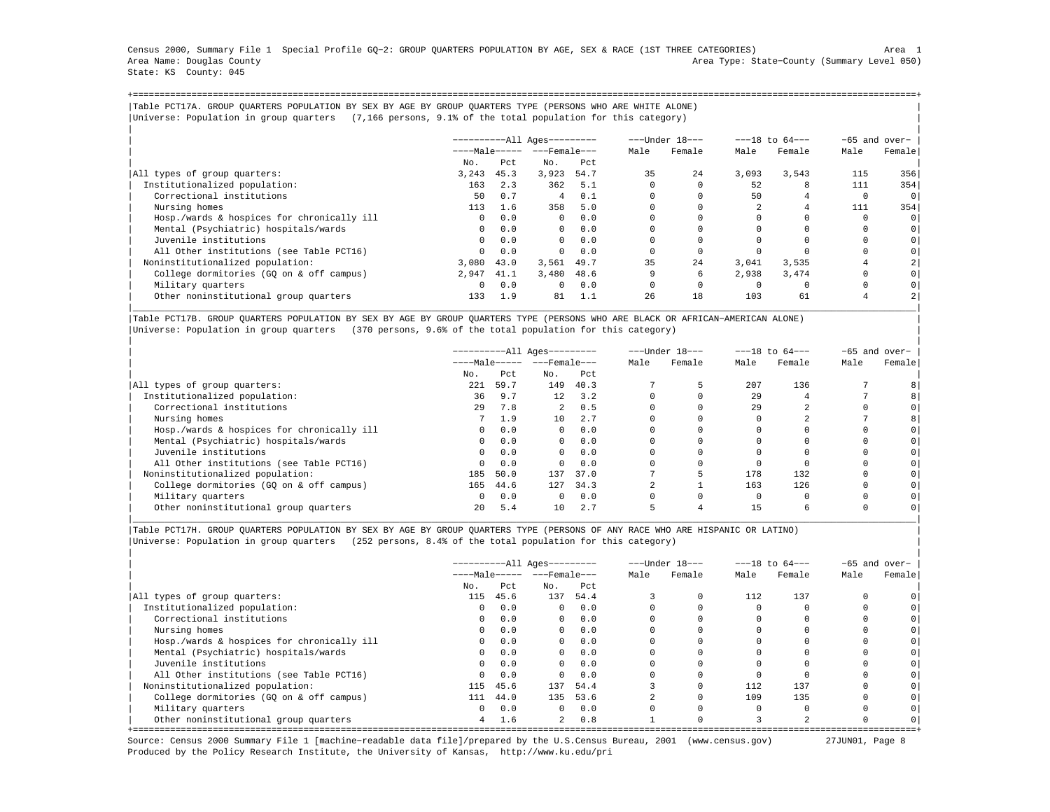Census 2000, Summary File 1 Special Profile GQ−2: GROUP QUARTERS POPULATION BY AGE, SEX & RACE (1ST THREE CATEGORIES) Area 1 Area Name: Douglas County Area Type: State−County (Summary Level 050) State: KS County: 045

+===================================================================================================================================================+|Table PCT17A. GROUP QUARTERS POPULATION BY SEX BY AGE BY GROUP QUARTERS TYPE (PERSONS WHO ARE WHITE ALONE) | |Universe: Population in group quarters (7,166 persons, 9.1% of the total population for this category) |

|                                            |              |      | $------All Aqes------$     |      |             | ---Under 18--- |       | $---18$ to $64---$ |          | $-65$ and over- |
|--------------------------------------------|--------------|------|----------------------------|------|-------------|----------------|-------|--------------------|----------|-----------------|
|                                            |              |      | ----Male----- ---Female--- |      | Male        | Female         | Male  | Female             | Male     | Female          |
|                                            | No.          | Pct  | No.                        | Pct  |             |                |       |                    |          |                 |
| All types of group quarters:               | 3,243        | 45.3 | 3,923                      | 54.7 | 35          | 24             | 3.093 | 3,543              | 115      | 356             |
| Institutionalized population:              | 163          | 2.3  | 362                        | 5.1  | $\mathbf 0$ |                | 52    | 8                  | 111      | 354             |
| Correctional institutions                  | 50           | 0.7  | $\overline{4}$             | 0.1  | $\Omega$    |                | 50    |                    | $\Omega$ | $\circ$         |
| Nursing homes                              | 113          | 1.6  | 358                        | 5.0  |             |                |       |                    | 111      | 354             |
| Hosp./wards & hospices for chronically ill | $\mathbf{0}$ | 0.0  | $\Omega$                   | 0.0  |             |                |       |                    |          | 0               |
| Mental (Psychiatric) hospitals/wards       | $^{\circ}$   | 0.0  | $\overline{0}$             | 0.0  |             |                |       |                    |          | 0               |
| Juvenile institutions                      | $^{\circ}$   | 0.0  | $\Omega$                   | 0.0  | 0           |                |       |                    |          | 0               |
| All Other institutions (see Table PCT16)   | $\Omega$     | 0.0  | $\Omega$                   | 0.0  |             |                |       |                    |          | 0               |
| Noninstitutionalized population:           | 3,080        | 43.0 | 3,561                      | 49.7 | 35          | 24             | 3,041 | 3,535              |          |                 |
| College dormitories (GO on & off campus)   | 2,947        | 41.1 | 3,480                      | 48.6 | 9           | 6              | 2,938 | 3,474              |          | 0 <sup>1</sup>  |
| Military quarters                          | $\mathbf{0}$ | 0.0  | $\Omega$                   | 0.0  | 0           |                |       |                    |          |                 |
| Other noninstitutional group quarters      | 133          | 1.9  | 81                         | 1.1  | 26          | 18             | 103   | 61                 |          |                 |

|Table PCT17B. GROUP QUARTERS POPULATION BY SEX BY AGE BY GROUP QUARTERS TYPE (PERSONS WHO ARE BLACK OR AFRICAN−AMERICAN ALONE) | |Universe: Population in group quarters (370 persons, 9.6% of the total population for this category) |

|                                            |          |      | ----------All Ages--------- |                |      | ---Under 18--- |      | $---18$ to $64---$ |      | -65 and over-  |
|--------------------------------------------|----------|------|-----------------------------|----------------|------|----------------|------|--------------------|------|----------------|
|                                            |          |      | $---Male--- - -Frame$       |                | Male | Female         | Male | Female             | Male | Female         |
|                                            | No.      | Pct  | No.                         | Pct            |      |                |      |                    |      |                |
| All types of group quarters:               | 221      | 59.7 | 149                         | 40.3           |      |                | 207  | 136                |      |                |
| Institutionalized population:              | 36       | 9.7  |                             | $12 \quad 3.2$ |      |                | 29   |                    |      | 8              |
| Correctional institutions                  | 29       | 7.8  | $2^{\circ}$                 | 0.5            |      |                | 29   |                    |      | $\circ$        |
| Nursing homes                              |          | 1.9  | 10                          | 2.7            |      |                |      |                    |      | 8 <sup>1</sup> |
| Hosp./wards & hospices for chronically ill | $\circ$  | 0.0  | $\Omega$                    | 0.0            |      |                |      |                    |      | 0 <sup>1</sup> |
| Mental (Psychiatric) hospitals/wards       | $\circ$  | 0.0  | $\mathbf{0}$                | 0.0            |      |                |      |                    |      | 0 <sup>1</sup> |
| Juvenile institutions                      | $\circ$  | 0.0  | $\Omega$                    | 0.0            |      |                |      |                    |      | 0 <sup>1</sup> |
| All Other institutions (see Table PCT16)   | $\Omega$ | 0.0  | $\cap$                      | 0.0            |      |                |      |                    |      | 0 <sup>1</sup> |
| Noninstitutionalized population:           | 185      | 50.0 | 137                         | 37.0           |      |                | 178  | 132                |      | 0 <sup>1</sup> |
| College dormitories (GO on & off campus)   | 165      | 44.6 | 127                         | 34.3           |      |                | 163  | 126                |      | 0 <sup>1</sup> |
| Military quarters                          | $\Omega$ | 0.0  | $\Omega$                    | 0.0            |      |                |      |                    |      | 0 <sup>1</sup> |
| Other noninstitutional group quarters      | 20       | 5.4  | 10                          | 2.7            | 5    |                | 15   |                    |      | 0 <sup>1</sup> |

|\_\_\_\_\_\_\_\_\_\_\_\_\_\_\_\_\_\_\_\_\_\_\_\_\_\_\_\_\_\_\_\_\_\_\_\_\_\_\_\_\_\_\_\_\_\_\_\_\_\_\_\_\_\_\_\_\_\_\_\_\_\_\_\_\_\_\_\_\_\_\_\_\_\_\_\_\_\_\_\_\_\_\_\_\_\_\_\_\_\_\_\_\_\_\_\_\_\_\_\_\_\_\_\_\_\_\_\_\_\_\_\_\_\_\_\_\_\_\_\_\_\_\_\_\_\_\_\_\_\_\_\_\_\_\_\_\_\_\_\_\_\_\_\_\_\_\_|

|Table PCT17H. GROUP QUARTERS POPULATION BY SEX BY AGE BY GROUP QUARTERS TYPE (PERSONS OF ANY RACE WHO ARE HISPANIC OR LATINO) | |Universe: Population in group quarters (252 persons, 8.4% of the total population for this category) |

|                                            | $------All Aqes------$ |      |                       |      |      | ---Under 18--- |      | $---18$ to $64---$ |      | $-65$ and over- |
|--------------------------------------------|------------------------|------|-----------------------|------|------|----------------|------|--------------------|------|-----------------|
|                                            |                        |      | $---Male--- - -Frame$ |      | Male | Female         | Male | Female             | Male | Female          |
|                                            | No.                    | Pct  | No.                   | Pct  |      |                |      |                    |      |                 |
| All types of group quarters:               | 115                    | 45.6 | 137                   | 54.4 |      |                | 112  | 137                |      |                 |
| Institutionalized population:              | $\Omega$               | 0.0  | $\Omega$              | 0.0  |      |                |      |                    |      |                 |
| Correctional institutions                  | $^{\circ}$             | 0.0  | $\circ$               | 0.0  |      |                |      |                    |      |                 |
| Nursing homes                              | $\Omega$               | 0.0  | $\Omega$              | 0.0  |      |                |      |                    |      |                 |
| Hosp./wards & hospices for chronically ill | $\Omega$               | 0.0  | $\circ$               | 0.0  |      |                |      |                    |      |                 |
| Mental (Psychiatric) hospitals/wards       | $\Omega$               | 0.0  | $\Omega$              | 0.0  |      |                |      |                    |      |                 |
| Juvenile institutions                      | $\Omega$               | 0.0  | $\Omega$              | 0.0  |      |                |      |                    |      |                 |
| All Other institutions (see Table PCT16)   | $\Omega$               | 0.0  | $\Omega$              | 0.0  |      |                |      |                    |      |                 |
| Noninstitutionalized population:           | 115                    | 45.6 | 137                   | 54.4 |      |                | 112  | 137                |      |                 |
| College dormitories (GQ on & off campus)   | 111                    | 44.0 | 135                   | 53.6 |      |                | 109  | 135                |      |                 |
| Military quarters                          | $\Omega$               | 0.0  | $\Omega$              | 0.0  |      |                |      |                    |      |                 |
| Other noninstitutional group quarters      | 4                      | 1.6  | $2^{\circ}$           | 0.8  |      |                |      |                    |      | 0               |

+===================================================================================================================================================+ Source: Census 2000 Summary File 1 [machine−readable data file]/prepared by the U.S.Census Bureau, 2001 (www.census.gov) 27JUN01, Page 8 Produced by the Policy Research Institute, the University of Kansas, http://www.ku.edu/pri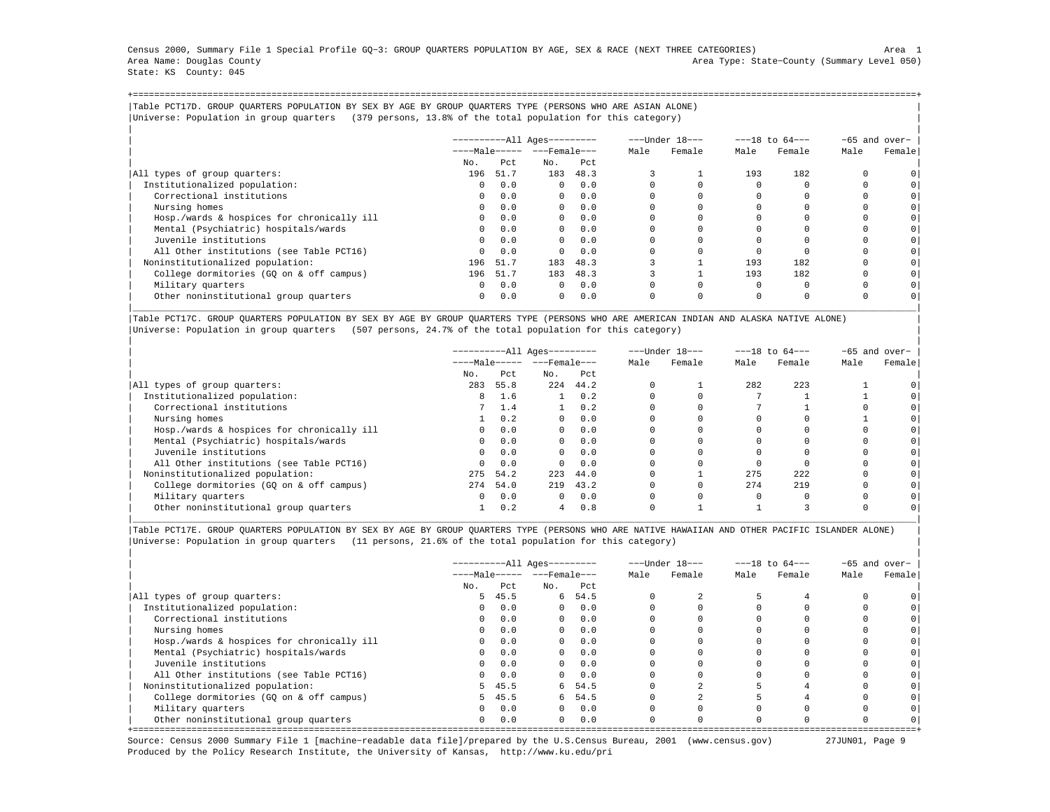Census 2000, Summary File 1 Special Profile GQ−3: GROUP QUARTERS POPULATION BY AGE, SEX & RACE (NEXT THREE CATEGORIES) Area 1 Area Name: Douglas County Area Type: State−County (Summary Level 050) State: KS County: 045

+===================================================================================================================================================+|Table PCT17D. GROUP QUARTERS POPULATION BY SEX BY AGE BY GROUP QUARTERS TYPE (PERSONS WHO ARE ASIAN ALONE) | |Universe: Population in group quarters (379 persons, 13.8% of the total population for this category) |

|                                            | $------All Aqes------$ |          |                       |      | ---Under 18--- |        | $---18$ to $64---$ |          | $-65$ and over- |                |
|--------------------------------------------|------------------------|----------|-----------------------|------|----------------|--------|--------------------|----------|-----------------|----------------|
|                                            |                        |          | $---Male--- - -Frame$ |      | Male           | Female | Male               | Female   | Male            | Female         |
|                                            | No.                    | Pct      | No.                   | Pct  |                |        |                    |          |                 |                |
| All types of group quarters:               | 196                    | 51.7     | 183                   | 48.3 |                |        | 193                | 182      |                 |                |
| Institutionalized population:              | $\mathbf{0}$           | 0.0      | $\Omega$              | 0.0  | $\Omega$       |        |                    |          |                 |                |
| Correctional institutions                  | $\Omega$               | 0.0      | $\Omega$              | 0.0  |                |        |                    |          |                 |                |
| Nursing homes                              | $\Omega$               | 0.0      | $\Omega$              | 0.0  |                |        |                    |          |                 |                |
| Hosp./wards & hospices for chronically ill | $\Omega$               | 0.0      | $\Omega$              | 0.0  |                |        |                    |          |                 | 0              |
| Mental (Psychiatric) hospitals/wards       | $\Omega$               | 0.0      | $\mathbf{0}$          | 0.0  |                |        |                    |          |                 | 0              |
| Juvenile institutions                      | $\Omega$               | 0.0      | $\Omega$              | 0.0  |                |        |                    |          |                 | 0 <sup>1</sup> |
| All Other institutions (see Table PCT16)   | $\Omega$               | 0.0      | $\Omega$              | 0.0  |                |        |                    |          |                 |                |
| Noninstitutionalized population:           | 196                    | 51.7     | 183                   | 48.3 |                |        | 193                | 182      |                 | 0              |
| College dormitories (GO on & off campus)   |                        | 196 51.7 | 183                   | 48.3 |                |        | 193                | 182      |                 | $\circ$        |
| Military quarters                          | $\circ$                | 0.0      | $\Omega$              | 0.0  | 0              |        |                    | $\Omega$ |                 |                |
| Other noninstitutional group quarters      | $\Omega$               | 0.0      | $\Omega$              | 0.0  | 0              |        | $\Omega$           | $\Omega$ |                 |                |

|Table PCT17C. GROUP QUARTERS POPULATION BY SEX BY AGE BY GROUP QUARTERS TYPE (PERSONS WHO ARE AMERICAN INDIAN AND ALASKA NATIVE ALONE) | |Universe: Population in group quarters (507 persons, 24.7% of the total population for this category) |

|                                            |          |          | ----------All Ages--------- |      | ---Under 18--- |        | $---18$ to $64---$ |        | $-65$ and over- |                |
|--------------------------------------------|----------|----------|-----------------------------|------|----------------|--------|--------------------|--------|-----------------|----------------|
|                                            |          |          | $---Male--- - -Frame$       |      | Male           | Female | Male               | Female | Male            | Female         |
|                                            | No.      | Pct      | No.                         | Pct  |                |        |                    |        |                 |                |
| All types of group quarters:               | 283      | 55.8     | 224                         | 44.2 |                |        | 282                | 223    |                 |                |
| Institutionalized population:              | 8        | 1.6      | $1 -$                       | 0.2  |                |        |                    |        |                 |                |
| Correctional institutions                  |          | 1.4      | 1                           | 0.2  |                |        |                    |        |                 | 0 <sup>1</sup> |
| Nursing homes                              |          | 0.2      | $\Omega$                    | 0.0  |                |        |                    |        |                 |                |
| Hosp./wards & hospices for chronically ill | $\Omega$ | 0.0      | $\mathbf{0}$                | 0.0  |                |        |                    |        |                 | $\circ$        |
| Mental (Psychiatric) hospitals/wards       | $\Omega$ | 0.0      | $\Omega$                    | 0.0  |                |        |                    |        |                 |                |
| Juvenile institutions                      | $\Omega$ | 0.0      | $\overline{0}$              | 0.0  |                |        |                    |        |                 | 0 <sup>1</sup> |
| All Other institutions (see Table PCT16)   | $\Omega$ | 0.0      | $\Omega$                    | 0.0  |                |        |                    |        |                 | $\circ$        |
| Noninstitutionalized population:           | 275      | 54.2     | 223                         | 44.0 |                |        | 275                | 222    |                 | 0 <sub>1</sub> |
| College dormitories (GQ on & off campus)   |          | 274 54.0 | 219                         | 43.2 |                |        | 274                | 219    |                 | $\circ$        |
| Military quarters                          | $\Omega$ | 0.0      | $\Omega$                    | 0.0  |                |        | $\Omega$           |        |                 | $\circ$        |
| Other noninstitutional group quarters      |          | 0.2      | 4                           | 0.8  | $\Omega$       |        |                    |        |                 | 0              |

|Table PCT17E. GROUP QUARTERS POPULATION BY SEX BY AGE BY GROUP QUARTERS TYPE (PERSONS WHO ARE NATIVE HAWAIIAN AND OTHER PACIFIC ISLANDER ALONE) | |Universe: Population in group quarters (11 persons, 21.6% of the total population for this category) |

|                                            |            |        | $------All Aqes------$ |         |      | ---Under 18--- |      | $---18$ to $64---$ | $-65$ and over- |        |
|--------------------------------------------|------------|--------|------------------------|---------|------|----------------|------|--------------------|-----------------|--------|
|                                            |            |        | $---Male--- - -Frame$  |         | Male | Female         | Male | Female             | Male            | Female |
|                                            | No.        | Pct    | No.                    | Pct     |      |                |      |                    |                 |        |
| All types of group quarters:               | 5          | 45.5   |                        | 6 54.5  |      |                |      |                    |                 |        |
| Institutionalized population:              | $\Omega$   | 0.0    | $\Omega$               | 0.0     |      |                |      |                    |                 |        |
| Correctional institutions                  | $^{\circ}$ | 0.0    | $\mathbf{0}$           | 0.0     |      |                |      |                    |                 |        |
| Nursing homes                              | $\Omega$   | 0.0    | $\Omega$               | 0.0     |      |                |      |                    |                 |        |
| Hosp./wards & hospices for chronically ill | $\circ$    | 0.0    | $\circ$                | 0.0     |      |                |      |                    |                 |        |
| Mental (Psychiatric) hospitals/wards       | $\Omega$   | 0.0    | $\Omega$               | 0.0     |      |                |      |                    |                 |        |
| Juvenile institutions                      | $\Omega$   | 0.0    | $\Omega$               | 0.0     |      |                |      |                    |                 |        |
| All Other institutions (see Table PCT16)   | $\Omega$   | 0.0    | $\Omega$               | 0.0     |      |                |      |                    |                 |        |
| Noninstitutionalized population:           |            | 5 45.5 |                        | 6 54.5  |      |                |      |                    |                 |        |
| College dormitories (GQ on & off campus)   | 5.         | 45.5   |                        | 6, 54.5 |      |                |      |                    |                 |        |
| Military quarters                          | $\Omega$   | 0.0    | $\Omega$               | 0.0     |      |                |      |                    |                 |        |
| Other noninstitutional group quarters      | $^{\circ}$ | 0.0    | $\mathbf{0}$           | 0.0     |      |                |      |                    |                 |        |

Source: Census 2000 Summary File 1 [machine−readable data file]/prepared by the U.S.Census Bureau, 2001 (www.census.gov) 27JUN01, Page 9 Produced by the Policy Research Institute, the University of Kansas, http://www.ku.edu/pri